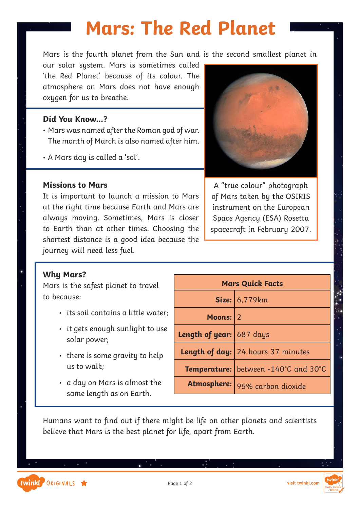Mars is the fourth planet from the Sun and is the second smallest planet in

our solar system. Mars is sometimes called 'the Red Planet' because of its colour. The atmosphere on Mars does not have enough oxygen for us to breathe.

#### **Did You Know…?**

- Mars was named after the Roman god of war. The month of March is also named after him.
- A Mars day is called a 'sol'.

#### **Missions to Mars**

It is important to launch a mission to Mars at the right time because Earth and Mars are always moving. Sometimes, Mars is closer to Earth than at other times. Choosing the shortest distance is a good idea because the journey will need less fuel.



A "true colour" photograph of Mars taken by the OSIRIS instrument on the European Space Agency (ESA) Rosetta spacecraft in February 2007.

#### **Why Mars?**

Mars is the safest planet to travel to because:

- its soil contains a little water;
- it gets enough sunlight to use solar power;
- there is some gravity to help us to walk;
- a day on Mars is almost the same length as on Earth.

| <b>Mars Quick Facts</b>  |                                             |  |  |
|--------------------------|---------------------------------------------|--|--|
|                          | Size: 6,779km                               |  |  |
| Moons: 2                 |                                             |  |  |
| Length of year: 687 days |                                             |  |  |
|                          | Length of day: 24 hours 37 minutes          |  |  |
|                          | <b>Temperature:</b> between -140°C and 30°C |  |  |
|                          | Atmosphere: 95% carbon dioxide              |  |  |

Humans want to find out if there might be life on other planets and scientists believe that Mars is the best planet for life, apart from Earth.

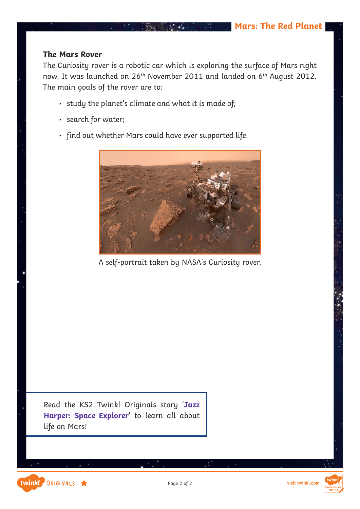#### **The Mars Rover**

The Curiosity rover is a robotic car which is exploring the surface of Mars right now. It was launched on 26<sup>th</sup> November 2011 and landed on 6<sup>th</sup> August 2012. The main goals of the rover are to:

 $\bullet$  .

- study the planet's climate and what it is made of;
- search for water;
- find out whether Mars could have ever supported life.



A self-portrait taken by NASA's Curiosity rover.

Read the KS2 Twinkl Originals story '**[Jazz](https://www.twinkl.co.uk/resources/ks2-twinkl-originals/twinkl-educational-publishing-fiction-stories-english-key-stage-2/jazz-harper-space-explorer-fiction-ks2-twinkl-originals) [Harper: Space Explorer](https://www.twinkl.co.uk/resources/ks2-twinkl-originals/twinkl-educational-publishing-fiction-stories-english-key-stage-2/jazz-harper-space-explorer-fiction-ks2-twinkl-originals)**' to learn all about life on Mars!

twinkl ORIGINALS

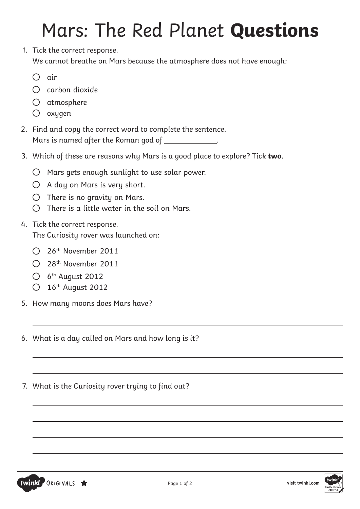# Mars: The Red Planet **Questions**

1. Tick the correct response.

We cannot breathe on Mars because the atmosphere does not have enough:

- $\bigcap$  air
- $\bigcap$  carbon dioxide
- atmosphere
- $\bigcirc$  oxygen
- 2. Find and copy the correct word to complete the sentence. Mars is named after the Roman god of \_\_\_\_\_\_\_\_\_\_\_\_.
- 3. Which of these are reasons why Mars is a good place to explore? Tick **two**.
	- $\bigcirc$  Mars gets enough sunlight to use solar power.
	- $O$  A day on Mars is very short.
	- $O$  There is no gravity on Mars.
	- $\bigcirc$  There is a little water in the soil on Mars.

## 4. Tick the correct response. The Curiosity rover was launched on:

- 26th November 2011
- $\bigcirc$  28<sup>th</sup> November 2011
- $\bigcirc$  6<sup>th</sup> August 2012

 $\overline{a}$ 

 $\overline{a}$ 

 $\overline{a}$ 

 $\overline{a}$ 

 $\overline{a}$ 

 $\overline{a}$ 

 $\overline{a}$ 

- O 16th August 2012
- 5. How many moons does Mars have?
- 6. What is a day called on Mars and how long is it?
- 7. What is the Curiosity rover trying to find out?



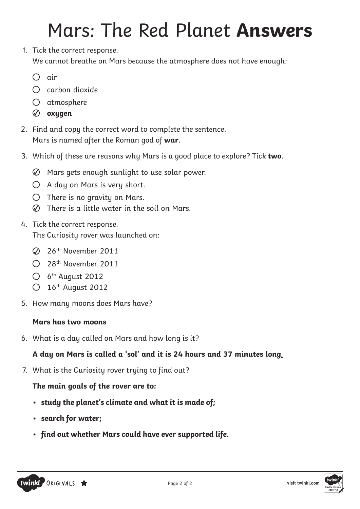# Mars: The Red Planet **Answers**

- 1. Tick the correct response. We cannot breathe on Mars because the atmosphere does not have enough:
	- $\bigcap$  air
	- $\bigcap$  carbon dioxide
	- atmosphere
	- **oxygen**
- 2. Find and copy the correct word to complete the sentence. Mars is named after the Roman god of **war**.
- 3. Which of these are reasons why Mars is a good place to explore? Tick **two**.
	- $\oslash$  Mars gets enough sunlight to use solar power.
	- $O$  A day on Mars is very short.
	- $O$  There is no gravity on Mars.
	- $\oslash$  There is a little water in the soil on Mars.
- 4. Tick the correct response. The Curiosity rover was launched on:
	- 26th November 2011
	- $\bigcirc$  28<sup>th</sup> November 2011
	- $\bigcirc$  6<sup>th</sup> August 2012
	- $\bigcirc$  16<sup>th</sup> August 2012
- 5. How many moons does Mars have?

## **Mars has two moons**

6. What is a day called on Mars and how long is it?

## **A day on Mars is called a 'sol' and it is 24 hours and 37 minutes long**.

7. What is the Curiosity rover trying to find out?

## **The main goals of the rover are to:**

- **• study the planet's climate and what it is made of;**
- **• search for water;**
- **• find out whether Mars could have ever supported life.**



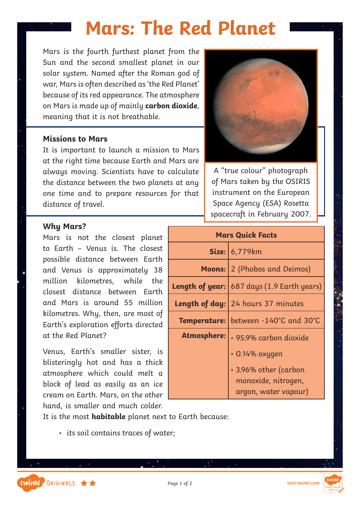Mars is the fourth furthest planet from the Sun and the second smallest planet in our solar system. Named after the Roman god of war, Mars is often described as 'the Red Planet' because of its red appearance. The atmosphere on Mars is made up of mainly **carbon dioxide**, meaning that it is not breathable.

#### **Missions to Mars**

It is important to launch a mission to Mars at the right time because Earth and Mars are always moving. Scientists have to calculate the distance between the two planets at any one time and to prepare resources for that distance of travel.

#### **Why Mars?**

twinkl ORIGINALS \*\*

Mars is not the closest planet to Earth – Venus is. The closest possible distance between Earth and Venus is approximately 38 million kilometres, while the closest distance between Earth and Mars is around 55 million kilometres. Why, then, are most of Earth's exploration efforts directed at the Red Planet?

Venus, Earth's smaller sister, is blisteringly hot and has a thick atmosphere which could melt a block of lead as easily as an ice cream on Earth. Mars, on the other hand, is smaller and much colder.

It is the most **habitable** planet next to Earth because:

• its soil contains traces of water;



A "true colour" photograph of Mars taken by the OSIRIS instrument on the European Space Agency (ESA) Rosetta spacecraft in February 2007.

| <b>Mars Quick Facts</b> |                                                              |  |  |
|-------------------------|--------------------------------------------------------------|--|--|
|                         | Size: $6,779km$                                              |  |  |
| Moons:                  | 2 (Phobos and Deimos)                                        |  |  |
|                         | <b>Length of year:</b> $ 687 \text{ days}$ (1.9 Earth years) |  |  |
|                         | <b>Length of day: 24 hours 37 minutes</b>                    |  |  |
|                         | Temperature: between -140°C and 30°C                         |  |  |
| <b>Atmosphere:</b>      | · 95.9% carbon dioxide                                       |  |  |
|                         | $\cdot$ 0.14% oxygen                                         |  |  |
|                         | • 3.96% other (carbon                                        |  |  |
|                         | monoxide, nitrogen,                                          |  |  |
|                         | argon, water vapour)                                         |  |  |

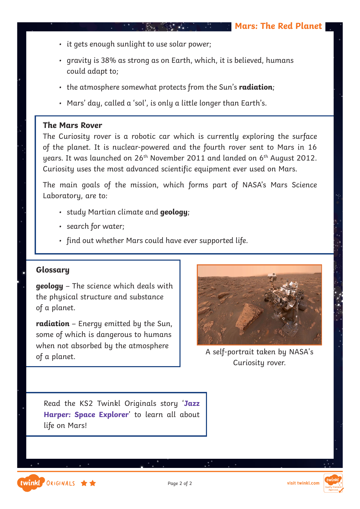- it gets enough sunlight to use solar power;
- gravity is 38% as strong as on Earth, which, it is believed, humans could adapt to;

 $\mathcal{L}^{\text{max}}_{\text{max}}$  , and  $\mathcal{L}^{\text{max}}_{\text{max}}$ 

 $\mathcal{L} = \{1, 2, \ldots \}$ 

- the atmosphere somewhat protects from the Sun's **radiation**;
- Mars' day, called a 'sol', is only a little longer than Earth's.

#### **The Mars Rover**

The Curiosity rover is a robotic car which is currently exploring the surface of the planet. It is nuclear-powered and the fourth rover sent to Mars in 16 uears. It was launched on  $26<sup>th</sup>$  November 2011 and landed on  $6<sup>th</sup>$  August 2012. Curiosity uses the most advanced scientific equipment ever used on Mars.

The main goals of the mission, which forms part of NASA's Mars Science Laboratory, are to:

- study Martian climate and **geology**;
- search for water;
- find out whether Mars could have ever supported life.

### **Glossary**

twinkl ORIGINALS \*\*

**geology** – The science which deals with the physical structure and substance of a planet.

**radiation** – Energy emitted by the Sun, some of which is dangerous to humans when not absorbed by the atmosphere of a planet.



A self-portrait taken by NASA's Curiosity rover.

Read the KS2 Twinkl Originals story '**[Jazz](https://www.twinkl.co.uk/resources/ks2-twinkl-originals/twinkl-educational-publishing-fiction-stories-english-key-stage-2/jazz-harper-space-explorer-fiction-ks2-twinkl-originals) [Harper: Space Explorer](https://www.twinkl.co.uk/resources/ks2-twinkl-originals/twinkl-educational-publishing-fiction-stories-english-key-stage-2/jazz-harper-space-explorer-fiction-ks2-twinkl-originals)**' to learn all about life on Mars!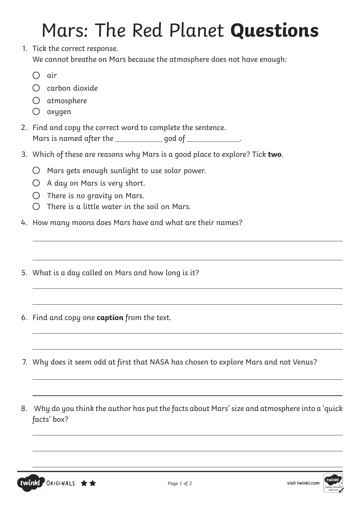# Mars: The Red Planet **Questions**

1. Tick the correct response. We cannot breathe on Mars because the atmosphere does not have enough:

air

 $\overline{a}$ 

 $\overline{a}$ 

 $\overline{a}$ 

 $\overline{a}$ 

 $\overline{a}$ 

 $\overline{a}$ 

 $\overline{a}$ 

 $\overline{a}$ 

 $\overline{a}$ 

 $\overline{a}$ 

- $\bigcap$  carbon dioxide
- atmosphere
- $O$  oxygen
- 2. Find and copy the correct word to complete the sentence. Mars is named after the \_\_\_\_\_\_\_\_\_\_\_\_\_ god of \_\_\_\_\_\_\_\_\_\_\_\_.
- 3. Which of these are reasons why Mars is a good place to explore? Tick **two**.
	- $\bigcirc$  Mars gets enough sunlight to use solar power.
	- $O$  A day on Mars is very short.
	- $\bigcirc$  There is no gravity on Mars.
	- $\bigcirc$  There is a little water in the soil on Mars.
- 4. How many moons does Mars have and what are their names?
- 5. What is a day called on Mars and how long is it?
- 6. Find and copy one **caption** from the text.
- 7. Why does it seem odd at first that NASA has chosen to explore Mars and not Venus?
- 8. Why do you think the author has put the facts about Mars' size and atmosphere into a 'quick facts' box?

 $\overline{a}$ 

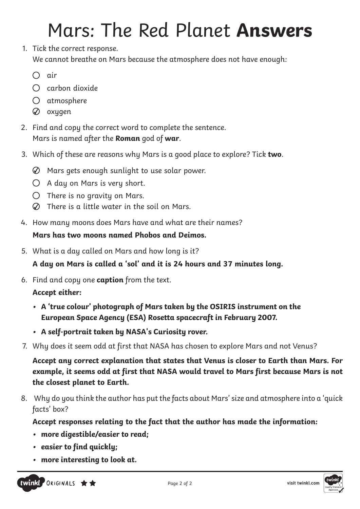# Mars: The Red Planet **Answers**

- 1. Tick the correct response. We cannot breathe on Mars because the atmosphere does not have enough:
	- air
	- $\bigcirc$  carbon dioxide
	- atmosphere
	- $\oslash$  oxygen
- 2. Find and copy the correct word to complete the sentence. Mars is named after the **Roman** god of **war**.
- 3. Which of these are reasons why Mars is a good place to explore? Tick **two**.
	- Mars gets enough sunlight to use solar power.
	- $O$  A day on Mars is very short.
	- $\bigcirc$  There is no gravity on Mars.
	- There is a little water in the soil on Mars.
- 4. How many moons does Mars have and what are their names?

## **Mars has two moons named Phobos and Deimos.**

5. What is a day called on Mars and how long is it?

**A day on Mars is called a 'sol' and it is 24 hours and 37 minutes long.**

6. Find and copy one **caption** from the text.

## **Accept either:**

- **• A 'true colour' photograph of Mars taken by the OSIRIS instrument on the European Space Agency (ESA) Rosetta spacecraft in February 2007.**
- **• A self-portrait taken by NASA's Curiosity rover.**
- 7. Why does it seem odd at first that NASA has chosen to explore Mars and not Venus?

**Accept any correct explanation that states that Venus is closer to Earth than Mars. For example, it seems odd at first that NASA would travel to Mars first because Mars is not the closest planet to Earth.**

8. Why do you think the author has put the facts about Mars' size and atmosphere into a 'quick facts' box?

**Accept responses relating to the fact that the author has made the information:**

- **• more digestible/easier to read;**
- **• easier to find quickly;**
- **• more interesting to look at.**



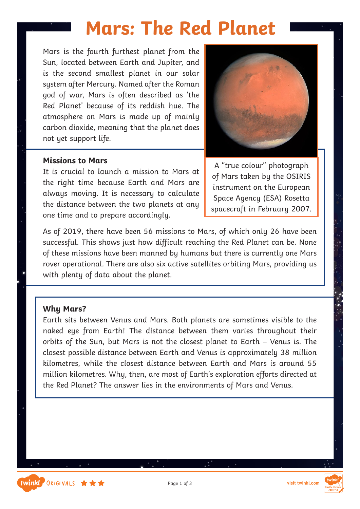Mars is the fourth furthest planet from the Sun, located between Earth and Jupiter, and is the second smallest planet in our solar system after Mercury. Named after the Roman god of war, Mars is often described as 'the Red Planet' because of its reddish hue. The atmosphere on Mars is made up of mainly carbon dioxide, meaning that the planet does not yet support life.



#### **Missions to Mars**

It is crucial to launch a mission to Mars at the right time because Earth and Mars are always moving. It is necessary to calculate the distance between the two planets at any one time and to prepare accordingly.

A "true colour" photograph of Mars taken by the OSIRIS instrument on the European Space Agency (ESA) Rosetta spacecraft in February 2007.

As of 2019, there have been 56 missions to Mars, of which only 26 have been successful. This shows just how difficult reaching the Red Planet can be. None of these missions have been manned by humans but there is currently one Mars rover operational. There are also six active satellites orbiting Mars, providing us with plenty of data about the planet.

#### **Why Mars?**

Earth sits between Venus and Mars. Both planets are sometimes visible to the naked eye from Earth! The distance between them varies throughout their orbits of the Sun, but Mars is not the closest planet to Earth – Venus is. The closest possible distance between Earth and Venus is approximately 38 million kilometres, while the closest distance between Earth and Mars is around 55 million kilometres. Why, then, are most of Earth's exploration efforts directed at the Red Planet? The answer lies in the environments of Mars and Venus.



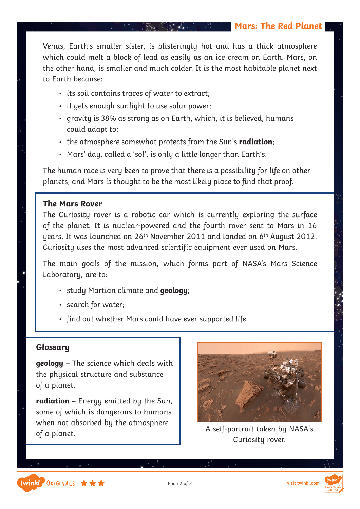Venus, Earth's smaller sister, is blisteringly hot and has a thick atmosphere which could melt a block of lead as easily as an ice cream on Earth. Mars, on the other hand, is smaller and much colder. It is the most habitable planet next to Earth because:

- its soil contains traces of water to extract;
- it gets enough sunlight to use solar power;
- gravity is 38% as strong as on Earth, which, it is believed, humans could adapt to;
- the atmosphere somewhat protects from the Sun's **radiation**;
- Mars' day, called a 'sol', is only a little longer than Earth's.

The human race is very keen to prove that there is a possibility for life on other planets, and Mars is thought to be the most likely place to find that proof.

#### **The Mars Rover**

The Curiosity rover is a robotic car which is currently exploring the surface of the planet. It is nuclear-powered and the fourth rover sent to Mars in 16 years. It was launched on 26<sup>th</sup> November 2011 and landed on 6<sup>th</sup> August 2012. Curiosity uses the most advanced scientific equipment ever used on Mars.

The main goals of the mission, which forms part of NASA's Mars Science Laboratory, are to:

- study Martian climate and **geology**;
- search for water;
- find out whether Mars could have ever supported life.

### **Glossary**

twinkl ORIGINALS \*\*\*

**geology** – The science which deals with the physical structure and substance of a planet.

**radiation** – Energy emitted by the Sun, some of which is dangerous to humans when not absorbed by the atmosphere of a planet.



A self-portrait taken by NASA's Curiosity rover.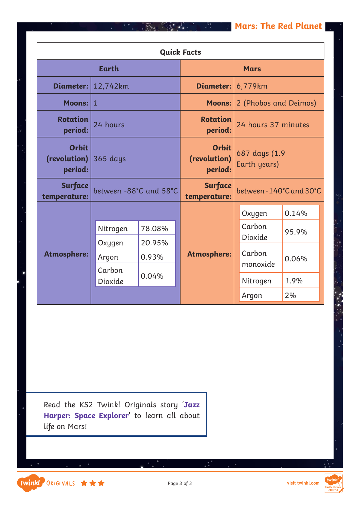| <b>Quick Facts</b>                                           |                        |             |                                         |                               |                       |  |  |  |
|--------------------------------------------------------------|------------------------|-------------|-----------------------------------------|-------------------------------|-----------------------|--|--|--|
| <b>Earth</b>                                                 |                        | <b>Mars</b> |                                         |                               |                       |  |  |  |
| Diameter:                                                    | 12,742km               |             | <b>Diameter:</b>                        | 6,779km                       |                       |  |  |  |
| Moons: $ 1 $                                                 |                        |             | <b>Moons:</b>                           |                               | 2 (Phobos and Deimos) |  |  |  |
| <b>Rotation</b><br>period:                                   | 24 hours               |             | <b>Rotation</b><br>period:              |                               | 24 hours 37 minutes   |  |  |  |
| <b>Orbit</b><br>(revolution) $ 365 \text{ days} $<br>period: |                        |             | <b>Orbit</b><br>(revolution)<br>period: | 687 days (1.9<br>Earth years) |                       |  |  |  |
| <b>Surface</b><br>temperature:                               | between -88°C and 58°C |             | Surface<br>temperature:                 | between - 140°C and 30°C      |                       |  |  |  |
|                                                              |                        |             |                                         | Oxygen                        | 0.14%                 |  |  |  |
|                                                              | Nitrogen               | 78.08%      |                                         | Carbon<br>Dioxide             | 95.9%                 |  |  |  |
|                                                              | 20.95%<br>Oxygen       | Carbon      |                                         |                               |                       |  |  |  |
| <b>Atmosphere:</b>                                           | Argon                  | 0.93%       | <b>Atmosphere:</b>                      | monoxide                      | 0.06%                 |  |  |  |
|                                                              | Carbon<br>Dioxide      | 0.04%       |                                         | Nitrogen                      | 1.9%                  |  |  |  |
|                                                              |                        |             |                                         | Argon                         | 2%                    |  |  |  |

 $\bullet$  .

Read the KS2 Twinkl Originals story '**[Jazz](https://www.twinkl.co.uk/resources/ks2-twinkl-originals/twinkl-educational-publishing-fiction-stories-english-key-stage-2/jazz-harper-space-explorer-fiction-ks2-twinkl-originals) [Harper: Space Explorer](https://www.twinkl.co.uk/resources/ks2-twinkl-originals/twinkl-educational-publishing-fiction-stories-english-key-stage-2/jazz-harper-space-explorer-fiction-ks2-twinkl-originals)**' to learn all about life on Mars!

twinkl ORIGINALS ★★★

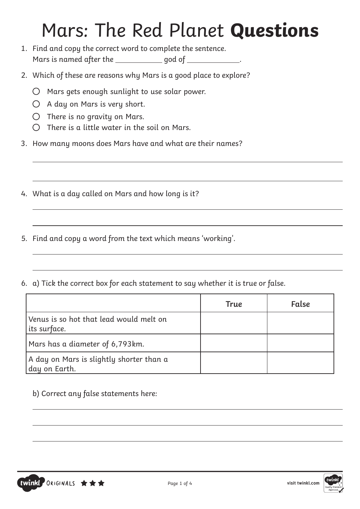## Mars: The Red Planet **Questions**

 $\overline{a}$ 

- 1. Find and copy the correct word to complete the sentence. Mars is named after the \_\_\_\_\_\_\_\_\_\_\_\_\_ god of \_\_\_\_\_\_\_\_\_\_\_\_.
- 2. Which of these are reasons why Mars is a good place to explore?
	- $\bigcirc$  Mars gets enough sunlight to use solar power.
	- $O$  A day on Mars is very short.
	- $O$  There is no gravity on Mars.

 $\overline{a}$ 

 $\overline{a}$ 

 $\overline{a}$ 

 $\overline{a}$ 

 $\overline{a}$ 

 $\overline{a}$ 

 $\overline{a}$ 

 $\overline{a}$ 

- $\bigcirc$  There is a little water in the soil on Mars.
- 3. How many moons does Mars have and what are their names?
- 4. What is a day called on Mars and how long is it?
- 5. Find and copy a word from the text which means 'working'.
- 6. a) Tick the correct box for each statement to say whether it is true or false.

|                                                           | True | False |
|-----------------------------------------------------------|------|-------|
| Venus is so hot that lead would melt on<br>its surface.   |      |       |
| Mars has a diameter of 6,793km.                           |      |       |
| A day on Mars is slightly shorter than a<br>day on Earth. |      |       |

### b) Correct any false statements here:

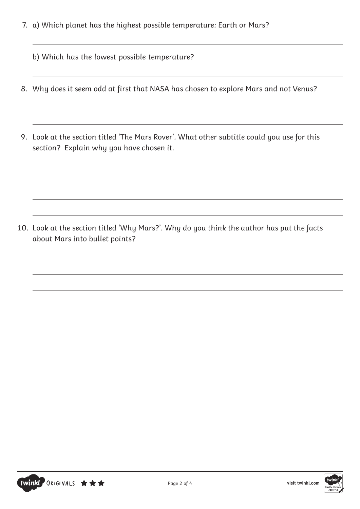- 7. a) Which planet has the highest possible temperature: Earth or Mars?
	- b) Which has the lowest possible temperature?

 $\overline{a}$ 

 $\overline{a}$ 

 $\overline{a}$ 

 $\overline{a}$ 

 $\overline{a}$ 

- 8. Why does it seem odd at first that NASA has chosen to explore Mars and not Venus?
- 9. Look at the section titled 'The Mars Rover'. What other subtitle could you use for this section? Explain why you have chosen it.

 $\overline{a}$ 

 $\overline{a}$ 

 $\overline{a}$ 

 $\overline{a}$ 

 $\overline{a}$ 

 $\overline{a}$ 

10. Look at the section titled 'Why Mars?'. Why do you think the author has put the facts about Mars into bullet points?



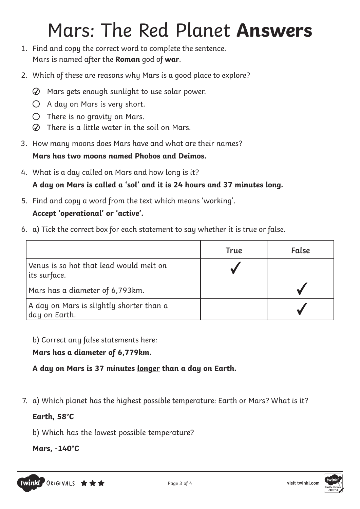## Mars: The Red Planet **Answers**

- 1. Find and copy the correct word to complete the sentence. Mars is named after the **Roman** god of **war**.
- 2. Which of these are reasons why Mars is a good place to explore?
	- $\oslash$  Mars gets enough sunlight to use solar power.
	- $O$  A day on Mars is very short.
	- $\bigcirc$  There is no gravity on Mars.
	- There is a little water in the soil on Mars.
- 3. How many moons does Mars have and what are their names?

## **Mars has two moons named Phobos and Deimos.**

- 4. What is a day called on Mars and how long is it? **A day on Mars is called a 'sol' and it is 24 hours and 37 minutes long.**
- 5. Find and copy a word from the text which means 'working'.

## **Accept 'operational' or 'active'.**

6. a) Tick the correct box for each statement to say whether it is true or false.

|                                                           | True | False |
|-----------------------------------------------------------|------|-------|
| Venus is so hot that lead would melt on<br>its surface.   |      |       |
| Mars has a diameter of 6,793km.                           |      |       |
| A day on Mars is slightly shorter than a<br>day on Earth. |      |       |

b) Correct any false statements here:

## **Mars has a diameter of 6,779km.**

**A day on Mars is 37 minutes longer than a day on Earth.**

7. a) Which planet has the highest possible temperature: Earth or Mars? What is it?

## **Earth, 58°C**

b) Which has the lowest possible temperature?

**Mars, -140°C**

twinkl ORIGINALS \*\*\*